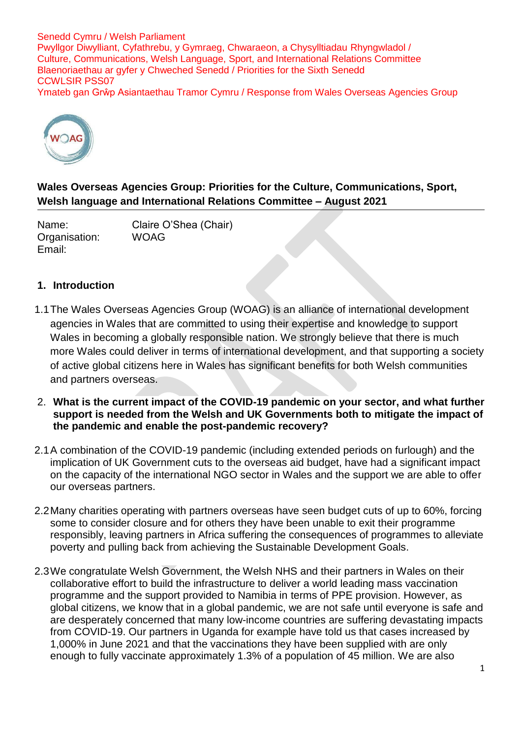Senedd Cymru / Welsh Parliament Pwyllgor Diwylliant, Cyfathrebu, y Gymraeg, Chwaraeon, a Chysylltiadau Rhyngwladol / Culture, Communications, Welsh Language, Sport, and International Relations Committee Blaenoriaethau ar gyfer y Chweched Senedd / Priorities for the Sixth Senedd CCWLSIR PSS07 Ymateb gan Grŵp Asiantaethau Tramor Cymru / Response from Wales Overseas Agencies Group



**Wales Overseas Agencies Group: Priorities for the Culture, Communications, Sport, Welsh language and International Relations Committee – August 2021**

Name: Claire O'Shea (Chair) Organisation: WOAG Email:

## **1. Introduction**

- 1.1The Wales Overseas Agencies Group (WOAG) is an alliance of international development agencies in Wales that are committed to using their expertise and knowledge to support Wales in becoming a globally responsible nation. We strongly believe that there is much more Wales could deliver in terms of international development, and that supporting a society of active global citizens here in Wales has significant benefits for both Welsh communities and partners overseas.
- 2. **What is the current impact of the COVID-19 pandemic on your sector, and what further support is needed from the Welsh and UK Governments both to mitigate the impact of the pandemic and enable the post-pandemic recovery?**
- 2.1A combination of the COVID-19 pandemic (including extended periods on furlough) and the implication of UK Government cuts to the overseas aid budget, have had a significant impact on the capacity of the international NGO sector in Wales and the support we are able to offer our overseas partners.
- 2.2Many charities operating with partners overseas have seen budget cuts of up to 60%, forcing some to consider closure and for others they have been unable to exit their programme responsibly, leaving partners in Africa suffering the consequences of programmes to alleviate poverty and pulling back from achieving the Sustainable Development Goals.
- 2.3We congratulate Welsh Government, the Welsh NHS and their partners in Wales on their collaborative effort to build the infrastructure to deliver a world leading mass vaccination programme and the support provided to Namibia in terms of PPE provision. However, as global citizens, we know that in a global pandemic, we are not safe until everyone is safe and are desperately concerned that many low-income countries are suffering devastating impacts from COVID-19. Our partners in Uganda for example have told us that cases increased by 1,000% in June 2021 and that the vaccinations they have been supplied with are only enough to fully vaccinate approximately 1.3% of a population of 45 million. We are also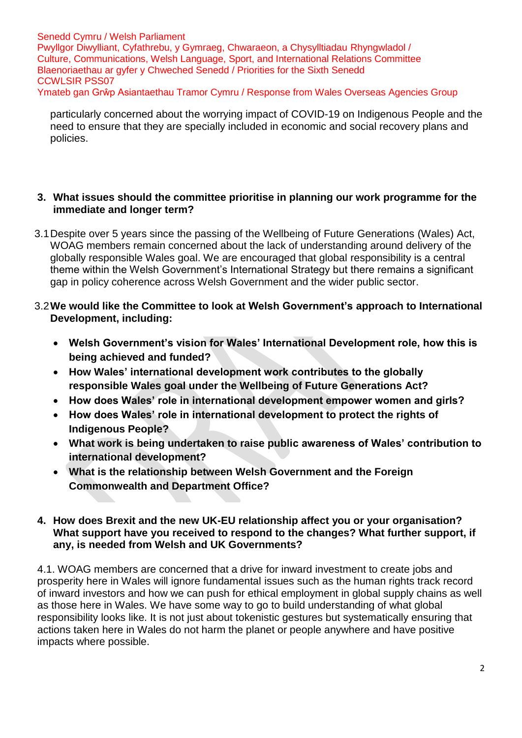Senedd Cymru / Welsh Parliament Pwyllgor Diwylliant, Cyfathrebu, y Gymraeg, Chwaraeon, a Chysylltiadau Rhyngwladol / Culture, Communications, Welsh Language, Sport, and International Relations Committee Blaenoriaethau ar gyfer y Chweched Senedd / Priorities for the Sixth Senedd CCWLSIR PSS07 Ymateb gan Grŵp Asiantaethau Tramor Cymru / Response from Wales Overseas Agencies Group

particularly concerned about the worrying impact of COVID-19 on Indigenous People and the need to ensure that they are specially included in economic and social recovery plans and policies.

## **3. What issues should the committee prioritise in planning our work programme for the immediate and longer term?**

- 3.1Despite over 5 years since the passing of the Wellbeing of Future Generations (Wales) Act, WOAG members remain concerned about the lack of understanding around delivery of the globally responsible Wales goal. We are encouraged that global responsibility is a central theme within the Welsh Government's International Strategy but there remains a significant gap in policy coherence across Welsh Government and the wider public sector.
- 3.2**We would like the Committee to look at Welsh Government's approach to International Development, including:**
	- **Welsh Government's vision for Wales' International Development role, how this is being achieved and funded?**
	- **How Wales' international development work contributes to the globally responsible Wales goal under the Wellbeing of Future Generations Act?**
	- **How does Wales' role in international development empower women and girls?**
	- **How does Wales' role in international development to protect the rights of Indigenous People?**
	- **What work is being undertaken to raise public awareness of Wales' contribution to international development?**
	- **What is the relationship between Welsh Government and the Foreign Commonwealth and Department Office?**

## **4. How does Brexit and the new UK-EU relationship affect you or your organisation? What support have you received to respond to the changes? What further support, if any, is needed from Welsh and UK Governments?**

4.1. WOAG members are concerned that a drive for inward investment to create jobs and prosperity here in Wales will ignore fundamental issues such as the human rights track record of inward investors and how we can push for ethical employment in global supply chains as well as those here in Wales. We have some way to go to build understanding of what global responsibility looks like. It is not just about tokenistic gestures but systematically ensuring that actions taken here in Wales do not harm the planet or people anywhere and have positive impacts where possible.